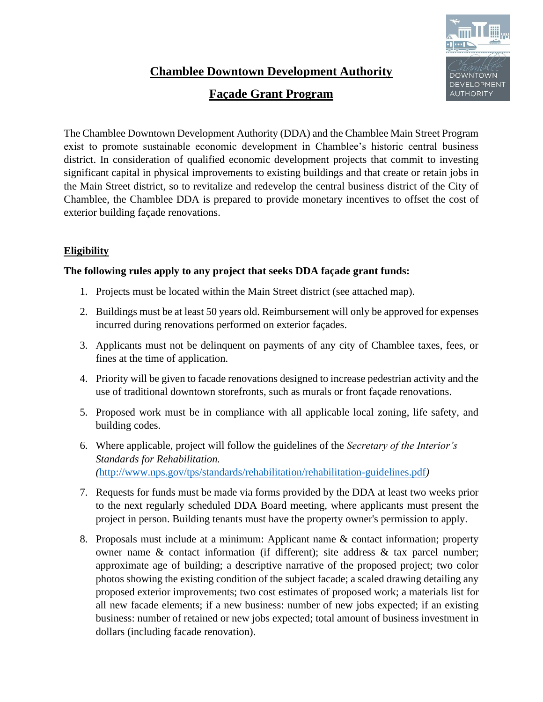# **Chamblee Downtown Development Authority**

# **Façade Grant Program**



The Chamblee Downtown Development Authority (DDA) and the Chamblee Main Street Program exist to promote sustainable economic development in Chamblee's historic central business district. In consideration of qualified economic development projects that commit to investing significant capital in physical improvements to existing buildings and that create or retain jobs in the Main Street district, so to revitalize and redevelop the central business district of the City of Chamblee, the Chamblee DDA is prepared to provide monetary incentives to offset the cost of exterior building façade renovations.

## **Eligibility**

## **The following rules apply to any project that seeks DDA façade grant funds:**

- 1. Projects must be located within the Main Street district (see attached map).
- 2. Buildings must be at least 50 years old. Reimbursement will only be approved for expenses incurred during renovations performed on exterior façades.
- 3. Applicants must not be delinquent on payments of any city of Chamblee taxes, fees, or fines at the time of application.
- 4. Priority will be given to facade renovations designed to increase pedestrian activity and the use of traditional downtown storefronts, such as murals or front façade renovations.
- 5. Proposed work must be in compliance with all applicable local zoning, life safety, and building codes.
- 6. Where applicable, project will follow the guidelines of the *Secretary of the Interior's Standards for Rehabilitation. (*<http://www.nps.gov/tps/standards/rehabilitation/rehabilitation-guidelines.pdf>*)*
- 7. Requests for funds must be made via forms provided by the DDA at least two weeks prior to the next regularly scheduled DDA Board meeting, where applicants must present the project in person. Building tenants must have the property owner's permission to apply.
- 8. Proposals must include at a minimum: Applicant name & contact information; property owner name & contact information (if different); site address & tax parcel number; approximate age of building; a descriptive narrative of the proposed project; two color photos showing the existing condition of the subject facade; a scaled drawing detailing any proposed exterior improvements; two cost estimates of proposed work; a materials list for all new facade elements; if a new business: number of new jobs expected; if an existing business: number of retained or new jobs expected; total amount of business investment in dollars (including facade renovation).